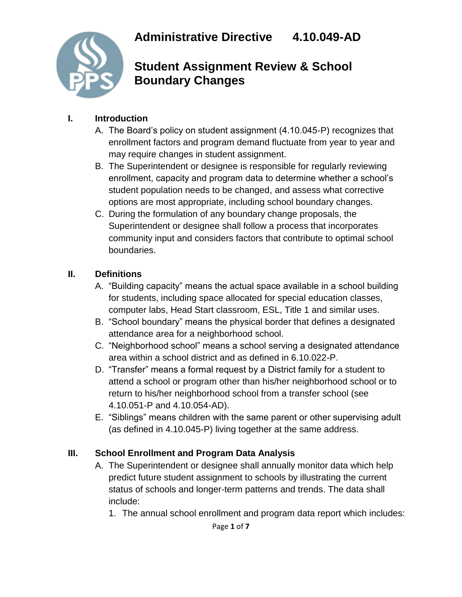

**Student Assignment Review & School Boundary Changes**

#### **I. Introduction**

- A. The Board's policy on student assignment (4.10.045-P) recognizes that enrollment factors and program demand fluctuate from year to year and may require changes in student assignment.
- B. The Superintendent or designee is responsible for regularly reviewing enrollment, capacity and program data to determine whether a school's student population needs to be changed, and assess what corrective options are most appropriate, including school boundary changes.
- C. During the formulation of any boundary change proposals, the Superintendent or designee shall follow a process that incorporates community input and considers factors that contribute to optimal school boundaries.

#### **II. Definitions**

- A. "Building capacity" means the actual space available in a school building for students, including space allocated for special education classes, computer labs, Head Start classroom, ESL, Title 1 and similar uses.
- B. "School boundary" means the physical border that defines a designated attendance area for a neighborhood school.
- C. "Neighborhood school" means a school serving a designated attendance area within a school district and as defined in 6.10.022-P.
- D. "Transfer" means a formal request by a District family for a student to attend a school or program other than his/her neighborhood school or to return to his/her neighborhood school from a transfer school (see 4.10.051-P and 4.10.054-AD).
- E. "Siblings" means children with the same parent or other supervising adult (as defined in 4.10.045-P) living together at the same address.

#### **III. School Enrollment and Program Data Analysis**

- A. The Superintendent or designee shall annually monitor data which help predict future student assignment to schools by illustrating the current status of schools and longer-term patterns and trends. The data shall include:
	- 1. The annual school enrollment and program data report which includes: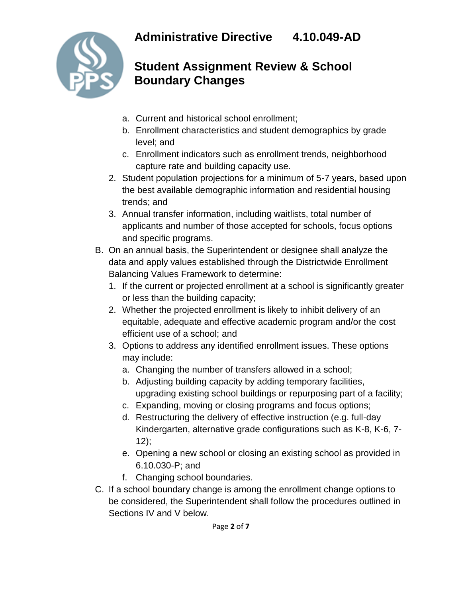

# **Student Assignment Review & School Boundary Changes**

- a. Current and historical school enrollment;
- b. Enrollment characteristics and student demographics by grade level; and
- c. Enrollment indicators such as enrollment trends, neighborhood capture rate and building capacity use.
- 2. Student population projections for a minimum of 5-7 years, based upon the best available demographic information and residential housing trends; and
- 3. Annual transfer information, including waitlists, total number of applicants and number of those accepted for schools, focus options and specific programs.
- B. On an annual basis, the Superintendent or designee shall analyze the data and apply values established through the Districtwide Enrollment Balancing Values Framework to determine:
	- 1. If the current or projected enrollment at a school is significantly greater or less than the building capacity;
	- 2. Whether the projected enrollment is likely to inhibit delivery of an equitable, adequate and effective academic program and/or the cost efficient use of a school; and
	- 3. Options to address any identified enrollment issues. These options may include:
		- a. Changing the number of transfers allowed in a school;
		- b. Adjusting building capacity by adding temporary facilities, upgrading existing school buildings or repurposing part of a facility;
		- c. Expanding, moving or closing programs and focus options;
		- d. Restructuring the delivery of effective instruction (e.g. full-day Kindergarten, alternative grade configurations such as K-8, K-6, 7-  $12$ :
		- e. Opening a new school or closing an existing school as provided in 6.10.030-P; and
		- f. Changing school boundaries.
- C. If a school boundary change is among the enrollment change options to be considered, the Superintendent shall follow the procedures outlined in Sections IV and V below.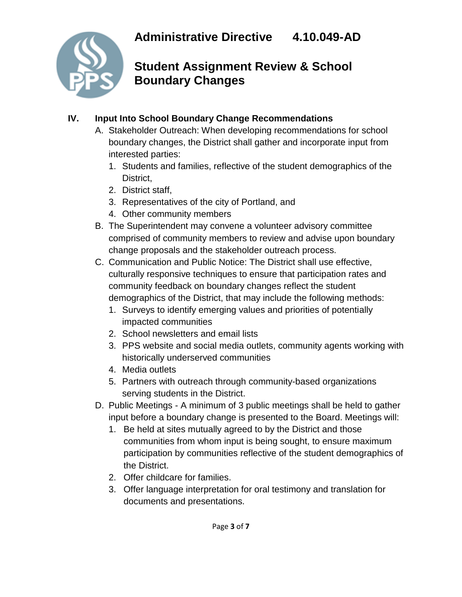

# **Student Assignment Review & School Boundary Changes**

### **IV. Input Into School Boundary Change Recommendations**

- A. Stakeholder Outreach: When developing recommendations for school boundary changes, the District shall gather and incorporate input from interested parties:
	- 1. Students and families, reflective of the student demographics of the District,
	- 2. District staff,
	- 3. Representatives of the city of Portland, and
	- 4. Other community members
- B. The Superintendent may convene a volunteer advisory committee comprised of community members to review and advise upon boundary change proposals and the stakeholder outreach process.
- C. Communication and Public Notice: The District shall use effective, culturally responsive techniques to ensure that participation rates and community feedback on boundary changes reflect the student demographics of the District, that may include the following methods:
	- 1. Surveys to identify emerging values and priorities of potentially impacted communities
	- 2. School newsletters and email lists
	- 3. PPS website and social media outlets, community agents working with historically underserved communities
	- 4. Media outlets
	- 5. Partners with outreach through community-based organizations serving students in the District.
- D. Public Meetings A minimum of 3 public meetings shall be held to gather input before a boundary change is presented to the Board. Meetings will:
	- 1. Be held at sites mutually agreed to by the District and those communities from whom input is being sought, to ensure maximum participation by communities reflective of the student demographics of the District.
	- 2. Offer childcare for families.
	- 3. Offer language interpretation for oral testimony and translation for documents and presentations.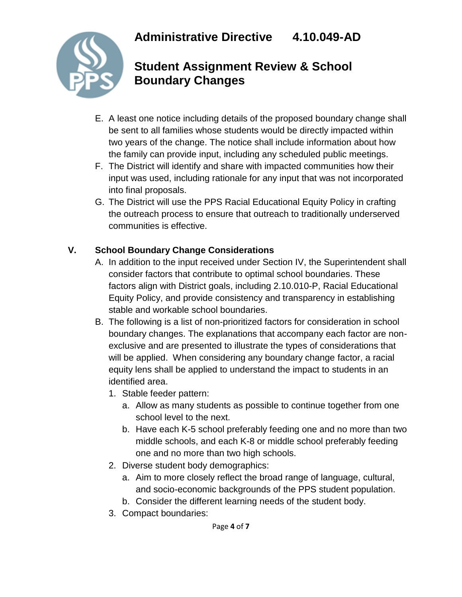

# **Student Assignment Review & School Boundary Changes**

- E. A least one notice including details of the proposed boundary change shall be sent to all families whose students would be directly impacted within two years of the change. The notice shall include information about how the family can provide input, including any scheduled public meetings.
- F. The District will identify and share with impacted communities how their input was used, including rationale for any input that was not incorporated into final proposals.
- G. The District will use the PPS Racial Educational Equity Policy in crafting the outreach process to ensure that outreach to traditionally underserved communities is effective.

### **V. School Boundary Change Considerations**

- A. In addition to the input received under Section IV, the Superintendent shall consider factors that contribute to optimal school boundaries. These factors align with District goals, including 2.10.010-P, Racial Educational Equity Policy, and provide consistency and transparency in establishing stable and workable school boundaries.
- B. The following is a list of non-prioritized factors for consideration in school boundary changes. The explanations that accompany each factor are nonexclusive and are presented to illustrate the types of considerations that will be applied. When considering any boundary change factor, a racial equity lens shall be applied to understand the impact to students in an identified area.
	- 1. Stable feeder pattern:
		- a. Allow as many students as possible to continue together from one school level to the next.
		- b. Have each K-5 school preferably feeding one and no more than two middle schools, and each K-8 or middle school preferably feeding one and no more than two high schools.
	- 2. Diverse student body demographics:
		- a. Aim to more closely reflect the broad range of language, cultural, and socio-economic backgrounds of the PPS student population.
		- b. Consider the different learning needs of the student body.
	- 3. Compact boundaries: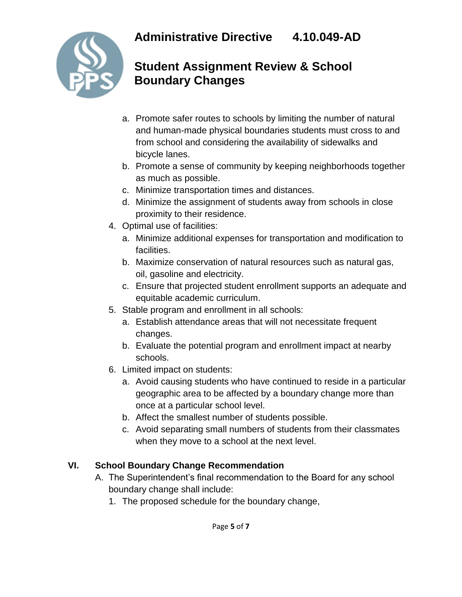

# **Student Assignment Review & School Boundary Changes**

- a. Promote safer routes to schools by limiting the number of natural and human-made physical boundaries students must cross to and from school and considering the availability of sidewalks and bicycle lanes.
- b. Promote a sense of community by keeping neighborhoods together as much as possible.
- c. Minimize transportation times and distances.
- d. Minimize the assignment of students away from schools in close proximity to their residence.
- 4. Optimal use of facilities:
	- a. Minimize additional expenses for transportation and modification to facilities.
	- b. Maximize conservation of natural resources such as natural gas, oil, gasoline and electricity.
	- c. Ensure that projected student enrollment supports an adequate and equitable academic curriculum.
- 5. Stable program and enrollment in all schools:
	- a. Establish attendance areas that will not necessitate frequent changes.
	- b. Evaluate the potential program and enrollment impact at nearby schools.
- 6. Limited impact on students:
	- a. Avoid causing students who have continued to reside in a particular geographic area to be affected by a boundary change more than once at a particular school level.
	- b. Affect the smallest number of students possible.
	- c. Avoid separating small numbers of students from their classmates when they move to a school at the next level.

### **VI. School Boundary Change Recommendation**

- A. The Superintendent's final recommendation to the Board for any school boundary change shall include:
	- 1. The proposed schedule for the boundary change,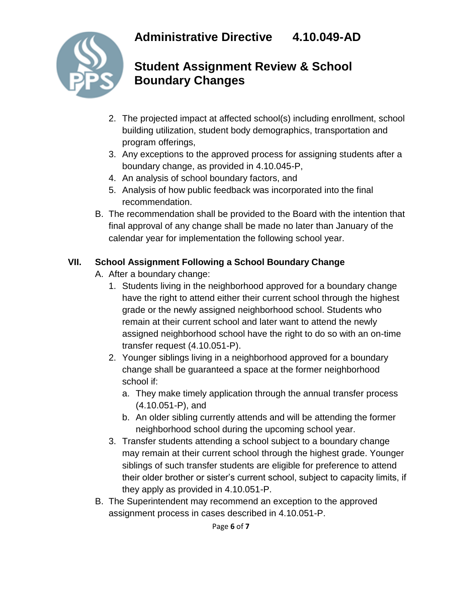

# **Student Assignment Review & School Boundary Changes**

- 2. The projected impact at affected school(s) including enrollment, school building utilization, student body demographics, transportation and program offerings,
- 3. Any exceptions to the approved process for assigning students after a boundary change, as provided in 4.10.045-P,
- 4. An analysis of school boundary factors, and
- 5. Analysis of how public feedback was incorporated into the final recommendation.
- B. The recommendation shall be provided to the Board with the intention that final approval of any change shall be made no later than January of the calendar year for implementation the following school year.

### **VII. School Assignment Following a School Boundary Change**

- A. After a boundary change:
	- 1. Students living in the neighborhood approved for a boundary change have the right to attend either their current school through the highest grade or the newly assigned neighborhood school. Students who remain at their current school and later want to attend the newly assigned neighborhood school have the right to do so with an on-time transfer request (4.10.051-P).
	- 2. Younger siblings living in a neighborhood approved for a boundary change shall be guaranteed a space at the former neighborhood school if:
		- a. They make timely application through the annual transfer process (4.10.051-P), and
		- b. An older sibling currently attends and will be attending the former neighborhood school during the upcoming school year.
	- 3. Transfer students attending a school subject to a boundary change may remain at their current school through the highest grade. Younger siblings of such transfer students are eligible for preference to attend their older brother or sister's current school, subject to capacity limits, if they apply as provided in 4.10.051-P.
- B. The Superintendent may recommend an exception to the approved assignment process in cases described in 4.10.051-P.